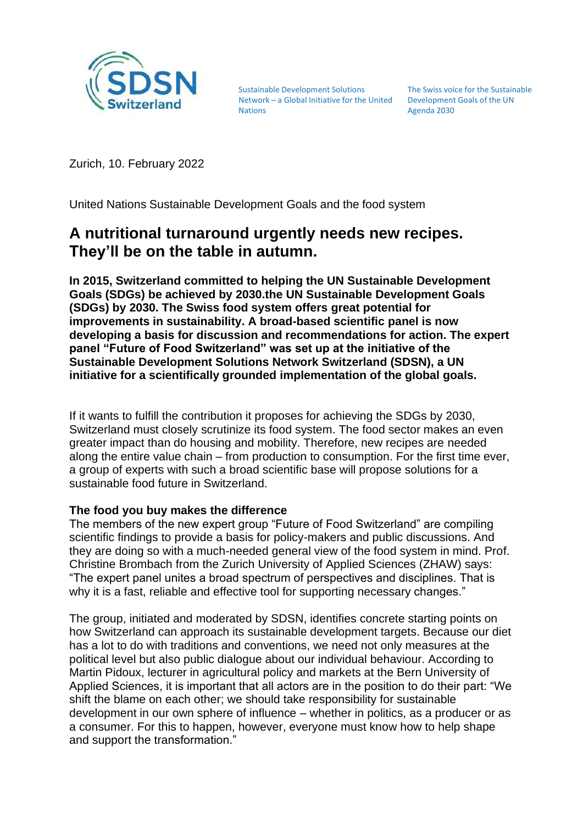

Sustainable Development Solutions Network – a Global Initiative for the United Development Goals of the UN Nations

The Swiss voice for the Sustainable Agenda 2030

Zurich, 10. February 2022

United Nations Sustainable Development Goals and the food system

# **A nutritional turnaround urgently needs new recipes. They'll be on the table in autumn.**

**In 2015, Switzerland committed to helping the UN Sustainable Development Goals (SDGs) be achieved by 2030.the UN Sustainable Development Goals (SDGs) by 2030. The Swiss food system offers great potential for improvements in sustainability. A broad-based scientific panel is now developing a basis for discussion and recommendations for action. The expert panel "Future of Food Switzerland" was set up at the initiative of the Sustainable Development Solutions Network Switzerland (SDSN), a UN initiative for a scientifically grounded implementation of the global goals.**

If it wants to fulfill the contribution it proposes for achieving the SDGs by 2030, Switzerland must closely scrutinize its food system. The food sector makes an even greater impact than do housing and mobility. Therefore, new recipes are needed along the entire value chain – from production to consumption. For the first time ever, a group of experts with such a broad scientific base will propose solutions for a sustainable food future in Switzerland.

### **The food you buy makes the difference**

The members of the new expert group "Future of Food Switzerland" are compiling scientific findings to provide a basis for policy-makers and public discussions. And they are doing so with a much-needed general view of the food system in mind. Prof. Christine Brombach from the Zurich University of Applied Sciences (ZHAW) says: "The expert panel unites a broad spectrum of perspectives and disciplines. That is why it is a fast, reliable and effective tool for supporting necessary changes."

The group, initiated and moderated by SDSN, identifies concrete starting points on how Switzerland can approach its sustainable development targets. Because our diet has a lot to do with traditions and conventions, we need not only measures at the political level but also public dialogue about our individual behaviour. According to Martin Pidoux, lecturer in agricultural policy and markets at the Bern University of Applied Sciences, it is important that all actors are in the position to do their part: "We shift the blame on each other; we should take responsibility for sustainable development in our own sphere of influence – whether in politics, as a producer or as a consumer. For this to happen, however, everyone must know how to help shape and support the transformation."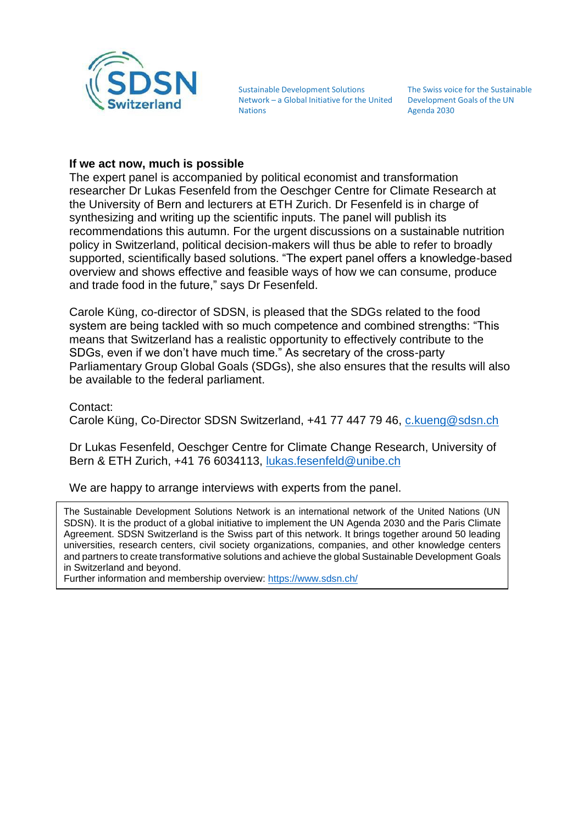

Sustainable Development Solutions Network – a Global Initiative for the United **Nations** 

The Swiss voice for the Sustainable Development Goals of the UN Agenda 2030

### **If we act now, much is possible**

The expert panel is accompanied by political economist and transformation researcher Dr Lukas Fesenfeld from the Oeschger Centre for Climate Research at the University of Bern and lecturers at ETH Zurich. Dr Fesenfeld is in charge of synthesizing and writing up the scientific inputs. The panel will publish its recommendations this autumn. For the urgent discussions on a sustainable nutrition policy in Switzerland, political decision-makers will thus be able to refer to broadly supported, scientifically based solutions. "The expert panel offers a knowledge-based overview and shows effective and feasible ways of how we can consume, produce and trade food in the future," says Dr Fesenfeld.

Carole Küng, co-director of SDSN, is pleased that the SDGs related to the food system are being tackled with so much competence and combined strengths: "This means that Switzerland has a realistic opportunity to effectively contribute to the SDGs, even if we don't have much time." As secretary of the cross-party Parliamentary Group Global Goals (SDGs), she also ensures that the results will also be available to the federal parliament.

Contact:

Carole Küng, Co-Director SDSN Switzerland, +41 77 447 79 46, [c.kueng@sdsn.ch](mailto:c.kueng@sdsn.ch)

Dr Lukas Fesenfeld, Oeschger Centre for Climate Change Research, University of Bern & ETH Zurich, +41 76 6034113, [lukas.fesenfeld@unibe.ch](mailto:lukas.fesenfeld@unibe.ch)

We are happy to arrange interviews with experts from the panel.

The Sustainable Development Solutions Network is an international network of the United Nations (UN SDSN). It is the product of a global initiative to implement the UN Agenda 2030 and the Paris Climate Agreement. SDSN Switzerland is the Swiss part of this network. It brings together around 50 leading universities, research centers, civil society organizations, companies, and other knowledge centers and partners to create transformative solutions and achieve the global Sustainable Development Goals in Switzerland and beyond.

Further information and membership overview: <https://www.sdsn.ch/>